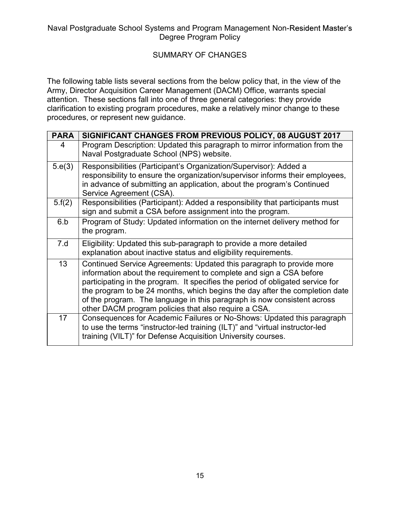Naval Postgraduate School Systems and Program Management Non-Resident Master's<br>Degree Program Policy<br>SUMMARY OF CHANGES ems and Program Management Non-Resident Master's<br>Degree Program Policy<br>UMMARY OF CHANGES

# SUMMARY OF CHANGES

|             | Naval Postgraduate School Systems and Program Management Non-Resident Master's<br>Degree Program Policy                                                                                                                                                                                                                                                                                                                                         |
|-------------|-------------------------------------------------------------------------------------------------------------------------------------------------------------------------------------------------------------------------------------------------------------------------------------------------------------------------------------------------------------------------------------------------------------------------------------------------|
|             | <b>SUMMARY OF CHANGES</b>                                                                                                                                                                                                                                                                                                                                                                                                                       |
|             | The following table lists several sections from the below policy that, in the view of the<br>Army, Director Acquisition Career Management (DACM) Office, warrants special<br>attention. These sections fall into one of three general categories: they provide<br>clarification to existing program procedures, make a relatively minor change to these<br>procedures, or represent new guidance.                                               |
| <b>PARA</b> | SIGNIFICANT CHANGES FROM PREVIOUS POLICY, 08 AUGUST 2017                                                                                                                                                                                                                                                                                                                                                                                        |
| 4           | Program Description: Updated this paragraph to mirror information from the<br>Naval Postgraduate School (NPS) website.                                                                                                                                                                                                                                                                                                                          |
| 5.e(3)      | Responsibilities (Participant's Organization/Supervisor): Added a<br>responsibility to ensure the organization/supervisor informs their employees,<br>in advance of submitting an application, about the program's Continued<br>Service Agreement (CSA).                                                                                                                                                                                        |
| 5.f(2)      | Responsibilities (Participant): Added a responsibility that participants must<br>sign and submit a CSA before assignment into the program.                                                                                                                                                                                                                                                                                                      |
| 6.b         | Program of Study: Updated information on the internet delivery method for<br>the program.                                                                                                                                                                                                                                                                                                                                                       |
| 7.d         | Eligibility: Updated this sub-paragraph to provide a more detailed<br>explanation about inactive status and eligibility requirements.                                                                                                                                                                                                                                                                                                           |
| 13          | Continued Service Agreements: Updated this paragraph to provide more<br>information about the requirement to complete and sign a CSA before<br>participating in the program. It specifies the period of obligated service for<br>the program to be 24 months, which begins the day after the completion date<br>of the program. The language in this paragraph is now consistent across<br>other DACM program policies that also require a CSA. |
| 17          | Consequences for Academic Failures or No-Shows: Updated this paragraph<br>to use the terms "instructor-led training (ILT)" and "virtual instructor-led<br>training (VILT)" for Defense Acquisition University courses.                                                                                                                                                                                                                          |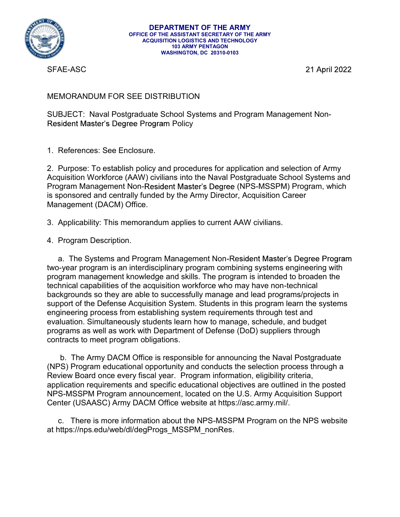

**DEPARTMENT OF THE ARMY**<br>
OFFICE OF THE ASSISTANT SECRETARY OF THE ARMY<br>
ACQUISITION LOGISTICS AND TECHNOLOGY<br>
TO ARMY PENTAGON<br>
TO ARMY PENTAGON<br>
WASHINGTON, DC 20310-0103<br>
SFAE-ASC<br>
21 April 2022<br>
MEMORANDUM FOR SEE DIST SUBJECT: Naval Postgraduate School Systems and Program Management Non-<br>SUBJECT: Naval Postgraduate School Systems and Program Management Non-<br>Resident Master's Degree Program Policy<br>1. References: See Enclosure. Resident Master's Degree Program Policy

DEPARTMENT OF THE ARMY<br>
OFFICE OF THE ASSISTANT SECRETARY OF THE ARMY<br>
ACQUISITION ALOGISTICS AND TECHNOLOGY<br>
WASHINGTON, DC 20310-0103<br>
SFAE-ASC<br>
MEMORANDUM FOR SEE DISTRIBUTION<br>
SUBJECT: Naval Postgraduate School Systems **EXARTMENT OF THE ARMY<br>
SURGE OF THE ASISTANT SCREEVANT OF THE ARMY<br>
ACCULIBITION<br>
MASHIMGTON, DC 20310-0103<br>
SFAE-ASC<br>
21 April 2022<br>
SFAE-ASC<br>
21 April 2022<br>
NEMORANDUM FOR SEE DISTRIBUTION<br>
SUBJECT: Naval Postgraduate S** Acquisition Workforce (AAW) civilians into the Naval Postgraduate School Systems and **DEPARTMENT OF THE ARMY<br>
CHE COTTHE ASSISTANT SECRETARY OF THE ARMY<br>
CHE ASSISTANT SECRETARY OF THE ARMY<br>
MANAGON MANAGON WASHINGTON, IDC 2015 ARMY PENTAGON<br>
SFAE-ASC<br>
SFAE-ASC<br>
21 April 2022<br>
MEMORANDUM FOR SEE DISTRIBUTI EXERT MANY TOF THE ARMY<br>
SERIE ARM SECRETARY OF THE ARMY<br>
SCRIBISHORIC SIGNETS AND TECHNOLOGY<br>
SEAE-ASC<br>
SEAE-ASC<br>
MEMORANDUM FOR SEE DISTRIBUTION<br>
SUBJECT: Naval Postgraduate School Systems and Program Management Non-<br>
R** Management (DACM) Office. WASHINGTON, DC 20310-0103<br>
SFAE-ASC<br>
21 April 20<br>
MEMORANDUM FOR SEE DISTRIBUTION<br>
SUBJECT: Naval Postgraduate School Systems and Program Management Non-<br>
Resident Master's Degree Program Policy<br>
2. Purpose: To establish p SFAE-ASC<br>
MEMORANDUM FOR SEE DISTRIBUTION<br>
SUBJECT: Naval Postgraduate School Systems and Program M<br>
Resident Master's Degree Program Policy<br>
1. References: See Enclosure.<br>
2. Purpose: To establish policy and procedures fo

MORANDUM FOR SEE DISTRIBUTION<br>
BJECT: Naval Postgraduate School Systems and Program Management Non-<br>
BJECT: Naval Postgraduate School Systems and Program Management Non-<br>
References: See Enclosure.<br>
Purpose: To establish p two-year program is an interdisciplinary program combining systems engineering with program management knowledge and skills. The program is intended to broaden the Souch Cristian Tosignatuate Scitter The acquisition and selection of Army<br>The acquisition Master's Degree Program Policy<br>
2. Purpose: To establish policy and procedures for application and selection of Army<br>
Acquisition Wo backgrounds so they are able to successfully manage and lead programs/projects in support of the Defense Acquisition System. Students in this program learn the systems engineering process from establishing system requirements through test and evaluation. Simultaneously students learn how to manage, schedule, and budget 2. Purpose: To establish policy and procedures for application and selection of Army<br>Acquisition Workforce (AAW) civilians into the Naval Postgraduate School Systems and<br>Program Management Non-Resident Master's Degree (NPS contracts to meet program obligations. gian manalgement wor-resolutivity than deliberate is explored and centrally funded by the Army Director, Acquisition Career<br>Applicability: This memorandum applies to current AAW civilians.<br>Program Description.<br>Applicabilit is sponsover and ventrainy tumeration applies to current AAW civilians.<br>
4. Program Description.<br>
4. Program Description.<br>
2. The Systems and Program Management Non-Resident Master's Degree Program<br>
two-year program is an S. Applicability: This memorandum applies to current AAW civilians.<br>
4. Program Description.<br>
4. The Systems and Program Management Non-Resident Master's Degree Program<br>
two-year program is an interdisciplinary program com 3. Applicability: This memorandum applies to current AAW civilians.<br>
4. Program Description.<br>
a. The Systems and Program Management Non-Resident Master's Degree Program<br>
two-year program is an interdisciplinary program com a. The Systems and Program Management Non-Resident Master's Degree Program gram is an interdisciplinary program combining systems engineering with gram management knowledge and skills. The program is intended to broaden th a. The System and Program management vort-research with the system of the state technical capabilities of the acquisition workforce who may have backgrounds so they are able to successfully manage and lead to support of th

NPS-MSSPM Program announcement, located on the U.S. Army Acquisition Support Center (USAASC) Army DACM Office website at https://asc.army.mil/.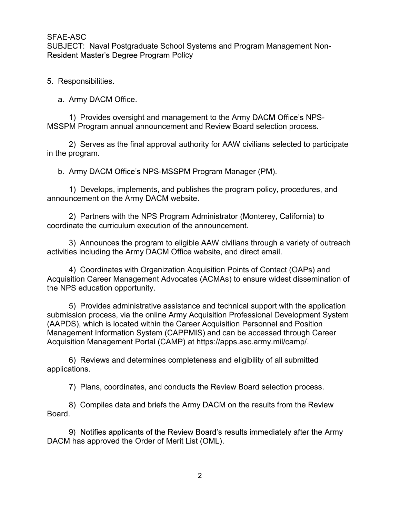SFAE-ASC<br>SUBJECT: Naval Postgraduate School Systems and Program Management Non-<br>Resident Master's Degree Program Policy<br>5. Responsibilities. Resident Master's Degree Program Policy

5. Responsibilities.

a. Army DACM Office.

1) Provides oversight and management to the Army DACM Office's NPS-MSSPM Program annual announcement and Review Board selection process.

 2) Serves as the final approval authority for AAW civilians selected to participate in the program.

b. Army DACM Office's NPS-MSSPM Program Manager (PM).

 1) Develops, implements, and publishes the program policy, procedures, and announcement on the Army DACM website.

 2) Partners with the NPS Program Administrator (Monterey, California) to coordinate the curriculum execution of the announcement.

 3) Announces the program to eligible AAW civilians through a variety of outreach activities including the Army DACM Office website, and direct email.

 4) Coordinates with Organization Acquisition Points of Contact (OAPs) and Acquisition Career Management Advocates (ACMAs) to ensure widest dissemination of the NPS education opportunity.

 5) Provides administrative assistance and technical support with the application submission process, via the online Army Acquisition Professional Development System (AAPDS), which is located within the Career Acquisition Personnel and Position Management Information System (CAPPMIS) and can be accessed through Career Acquisition Management Portal (CAMP) at https://apps.asc.army.mil/camp/.

 6) Reviews and determines completeness and eligibility of all submitted applications.

7) Plans, coordinates, and conducts the Review Board selection process.

 8) Compiles data and briefs the Army DACM on the results from the Review Board.

9) Notifies applicants of the Review Board's results immediately after the Army DACM has approved the Order of Merit List (OML).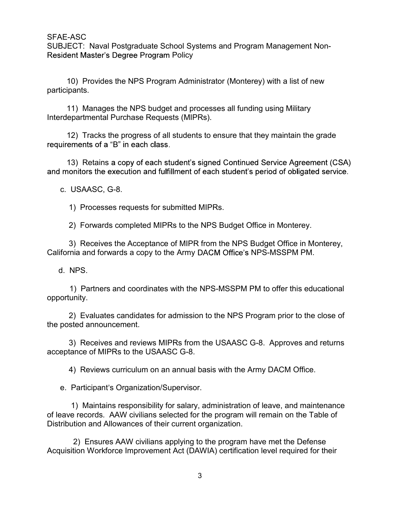SFAE-ASC<br>SUBJECT: Naval Postgraduate School Systems and Program Management Non-<br>Resident Master's Degree Program Policy<br>10) Provides the NPS Program Administrator (Monterey) with a list of new Resident Master's Degree Program Policy 1999)<br>10) Provides the NPS Program Policy<br>10) Provides the NPS Program Administrator (Monterey) with a list of new<br>11) Manages the NPS Program Administrator (Monterey) with a list of new<br>11) Manages the NPS budget and proc

participants.

Interdepartmental Purchase Requests (MIPRs). Solidary Controllary<br>
13) Retainsachers Degree Program Policy<br>
10) Provides the NPS Program Policy<br>
10) Provides the NPS Program Administrator (Monterey) with a list<br>
11) Manages the NPS budget and processes all funding us NE-ASC<br>
SJECT: Naval Postgraduate School Systems and Program Mana<br>
ident Master's Degree Program Policy<br>
10) Provides the NPS Program Administrator (Monterey) with<br>
11) Manages the NPS budget and processes all funding usin ASSOCT: Naval Postgraduate School Systems and Program Manage<br>
FCT: Naval Postgraduate School Systems and Program Manage<br>
10) Provides the NPS Program Administrator (Monterey) with a list<br>
pants.<br>
11) Manages the NPS budget

1999)<br>11) Marketter's Degree Program Policy<br>11) Provides the NPS Program Policy<br>12) Provides the NPS Program Administrator (Monterey) with a list of new<br>11) Manages the NPS budget and processes all funding using Military<br>1

12)<br>12) Tracks the program Policy<br>12) Provides the NPS Program Administrator (Monterey) with a list of new<br>12) Provides the NPS Program Administrator (Monterey) with a list of new<br>12) Manages the NPS budget and processes a 2) Forwards completed MIPRs for the NPS Budget Office in Monterey.<br>
2) Frances the NPS budget and processes all funding using Military<br>
11) Manages the NPS budget and processes all funding using Military<br>
2) Tracks the pro 10) Provides the NPS Program Administrator (Monterey) with a list of new<br>
11) Manages the NPS budget and processes all funding using Military<br>
12) Tracks the progress of all students to ensure that they maintain the grade<br> 1) Tracks the progress of all student's observe that they maintain the grade<br>
12) Tracks the progress of all student's signed Continued Service Agreement (CSA)<br>
13) Retains a copy of each student's signed Continued Service

California and forwards a copy to the Army DACM Office's NPS-MSSPM PM. 11) Manages the NPS budget and processes all funding using<br>
redepartmental Purchase Requests (MIPRs).<br>
12) Tracks the progress of all students to ensure that they mai<br>
uirements of a "B" in each class.<br>
13) Retains a copy

opportunity.

 2) Evaluates candidates for admission to the NPS Program prior to the close of the posted announcement.

 3) Receives and reviews MIPRs from the USAASC G-8. Approves and returns acceptance of MIPRs to the USAASC G-8.

4) Reviews curriculum on an annual basis with the Army DACM Office.

2) Forwards completed MIPRs to the NPS Budget Office in M<br>3) Receives the Acceptance of MIPR from the NPS Budget Of<br>fornia and forwards a copy to the Army DACM Office's NPS-MSS<br>4. NPS.<br>4. NPS.<br>4. Partners and coordinates w 1) Receives the Acceptance of MIPR from the NPS Budget Office in Monterey,<br>
1) Partners and coordinates with the NPS-MSSPM PM to offer this educational<br>
1) Partners and coordinates with the NPS-MSSPM PM to offer this educa of leave records. AAW civilians selected for the program will remain on the Table of Distribution and Allowances of their current organization. 149.<br>
2) Partners and coordinates with the NPS-MSSPM PM to offer this educational<br>
2) Evaluates candidates for admission to the NPS Program prior to the close of<br>
Edd announcement.<br>
2) Receives and reviews MIPRs from the U

Acquisition Workforce Improvement Act (DAWIA) certification level required for their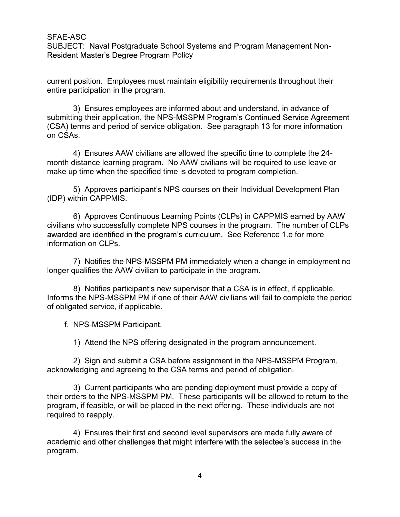SFAE-ASC<br>SUBJECT: Naval Postgraduate School Systems and Program Management Non-<br>Resident Master's Degree Program Policy<br>current position. Employees must maintain eligibility requirements throughout their Resident Master's Degree Program Policy

current position. Employees must maintain eligibility requirements throughout their entire participation in the program.

SC<br>
SCT: Naval Postgraduate School Systems and Program Management Non-<br>
Interaction Master's Degree Program Policy<br>
position. Employees must maintain eligibility requirements throughout their<br>
anticipation in the program.<br> submitting their application, the NPS-MSSPM Program's Continued Service Agreement (CSA) terms and period of service obligation. See paragraph 13 for more information on CSAs. NSC<br>CT: Naval Postgraduate School Systems and Program Management Non-<br>th Master's Degree Program Policy<br>position. Employees must maintain eligibility requirements throughout their<br>articipation in the program.<br>3) Ensures em NSC<br>
SCC: Naval Postgraduate School Systems and Program Management Non-<br>
th Master's Degree Program Policy<br>
position. Employees must maintain eligibility requirements throughout their<br>
articipation in the program.<br>
3) Ensu 6) Christian Postgradual School Systems and Program management Non-<br>position. Employees must maintain eligibility requirements throughout their<br>articipation in the program.<br>3) Ensures employees are informed about and under and plation and the program.<br>
2) Ensures employees are informed about and understand, in advance of<br>
ing their application, the NPS-MSSPM Program's Continued Service Agreement<br>
erms and period of service obligation. See pa

month distance learning program. No AAW civilians will be required to use leave or make up time when the specified time is devoted to program completion.

(IDP) within CAPPMIS.

civilians who successfully complete NPS courses in the program. The number of CLPs awarded are identified in the program's curriculum. See Reference 1.e for more information on CLPs. 47 Ensures Are to compute the specific the specific the propren and the distance learning program. No AAW civilians will be required to up time when the specified time is devoted to program completi 5) Approves participant 5) Approves participant's NPS courses on their Individual Development Plan<br>
16) Approves continuous Learning Points (CLPs) in CAPPMIS earned by AAW<br>
16) Approves Continuous Learning Points (CLPs) in CAPPMIS earned by AAW<br> by Applives participants are 5 courses on trien intrividual betweepment r random<br>
fithin CAPPMIS.<br>
6) Approves Continuous Learning Points (CLPs) in CAPPMIS earned by AAW<br>
who successfully complete NPS courses in the progra

longer qualifies the AAW civilian to participate in the program.

8) Notifies participant's new supervisor that a CSA is in effect, if applicable. Informs the NPS-MSSPM PM if one of their AAW civilians will fail to complete the period of obligated service, if applicable.

acknowledging and agreeing to the CSA terms and period of obligation.

or performation and and participants who are pending to their a form of the matter of CLPs<br>and are identified in the program's curriculum. See Reference 1.e for more<br>tion on CLPs.<br>The number of CLPs<br>are identified in the p their orders to the NPS-MSSPM PM. These participants will be allowed to return to the program, if feasible, or will be placed in the next offering. These individuals are not required to reapply. 7) Nouries the Wro-Short Throminal parametery when a change in employment no<br>Busilfies the AAW civilian to participate in the program.<br>Both NPS-MSSPM PM if one of their AAW civilians will fail to complete the period<br>ated s

academic and other challenges that might interfere with the selectee's success in the program.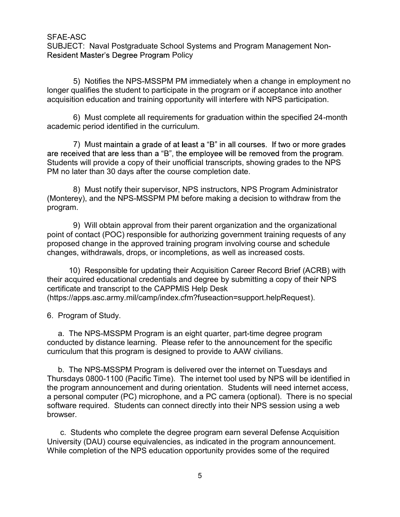SFAE-ASC<br>SUBJECT: Naval Postgraduate School Systems and Program Management Non-<br>Resident Master's Degree Program Policy<br>5) Notifies the NPS-MSSPM PM immediately when a change in employment no Resident Master's Degree Program Policy

SC<br>1995) Notifies the NPS-MSSPM PM immediately when a change in employment no<br>5) Notifies the NPS-MSSPM PM immediately when a change in employment no<br>spullifies the student to participate in the program or if acceptance in longer qualifies the student to participate in the program or if acceptance into another acquisition education and training opportunity will interfere with NPS participation. SC<br>CT: Naval Postgraduate School Systems and Program Management Non-<br>th Master's Degree Program Policy<br>5) Notifies the NPS-MSSPM PM immediately when a change in employment no<br>qualifies the student to participate in the pro

academic period identified in the curriculum.

SC<br>
SCT: Naval Postgraduate School Systems and Program Managem<br>
The Master's Degree Program Policy<br>
5) Notifies the NPS-MSSPM PM immediately when a change in equalifies<br>
the student to participate in the program or if acce Students will provide a copy of their unofficial transcripts, showing grades to the NPS PM no later than 30 days after the course completion date. NSC<br>
SCC: Naval Postgraduate School Systems and Program Management Non-<br>
th Master's Degree Program Policy<br>
5) Notifies the NPS-MSSPM PM immediately when a change in employment no<br>
supervisor of a ceoplance in the program

(Monterey), and the NPS-MSSPM PM before making a decision to withdraw from the program.

It waster s begiee Program Policy<br>
9) Notifies the NPS-MSSPM PM immediately when a change in employment no<br>
qualifies the student to participate in the program or if acceptance into another<br>
6) Must complete all requiremen point of contact (POC) responsible for authorizing government training requests of any proposed change in the approved training program involving course and schedule changes, withdrawals, drops, or incompletions, as well as increased costs. 10) Music condition and variany opportantly with interlete with two 5 participation.<br>
10) Must complete all requirements for graduation within the specified 24-month<br>
17) Must maintain a grade of at least a "B" in all cour <sup>1</sup>7 wust mannin a giade of a least a D in an courses.<br>The received that are less than a "B", the employee will be remove<br>Students will provide a copy of their unofficial transcripts, showing<br>PM no later than 30 days after a. The NPS-MSSPM Program is an eight quarter, part-time degree program Administrator<br>a. The Net MeV of the NPS-MSSPM PM before making a decision to withdraw from the<br>gram.<br>9) Will obtain approval from their parent organiza

their acquired educational credentials and degree by submitting a copy of their NPS certificate and transcript to the CAPPMIS Help Desk (https://apps.asc.army.mil/camp/index.cfm?fuseaction=support.helpRequest).

conducted by distance learning. Please refer to the announcement for the specific curriculum that this program is designed to provide to AAW civilians.

b. Will obtain approval from their parent organization and the organizational<br>gram.<br>9) Will obtain approval from their parent organization and the organizational<br>the foculate (POC) responsible for authorizing government tr Thursdays 0800-1100 (Pacific Time). The internet tool used by NPS will be identified in the program announcement and during orientation. Students will need internet access, a personal computer (PC) microphone, and a PC camera (optional). There is no special software required. Students can connect directly into their NPS session using a web browser. 10) Responsible for updating their Acquisition Career Record Brief (ACRB) with<br>a required educational credentials and degree by submitting a copy of their NPS<br>ifficate and transcript to the CAPPMIS Help Desk<br>program of Stu

University (DAU) course equivalencies, as indicated in the program announcement. While completion of the NPS education opportunity provides some of the required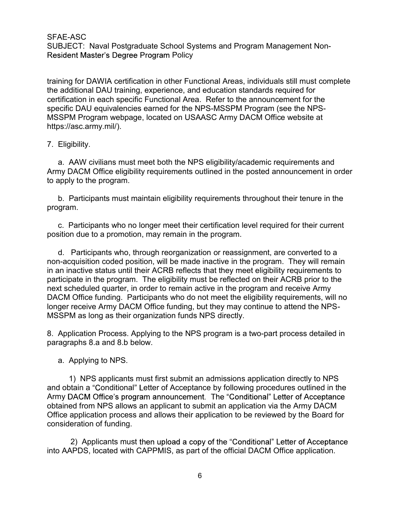SFAE-ASC<br>SUBJECT: Naval Postgraduate School Systems and Program Management Non-<br>Resident Master's Degree Program Policy<br>training for DAWIA certification in other Functional Areas, individuals still must complete Resident Master's Degree Program Policy

training for DAWIA certification in other Functional Areas, individuals still must complete the additional DAU training, experience, and education standards required for certification in each specific Functional Area. Refer to the announcement for the specific DAU equivalencies earned for the NPS-MSSPM Program (see the NPS-MSSPM Program webpage, located on USAASC Army DACM Office website at https://asc.army.mil/). SFAE-ASC<br>
SUBJECT: Naval Postgraduate School Systems and Program M<br>
Resident Master's Degree Program Policy<br>
training for DAWIA certification in other Functional Areas, individu<br>
the additional DAU training, experience, an AE-ASC<br>BJECT: Naval Postgraduate School Systems and Program Management Non-<br>sident Master's Degree Program Policy<br>ming for DAWIA certification in other Functional Areas, individuals still must complete<br>additional DAU train AE-ASC<br>BJECT: Naval Postgraduate School Systems and Program Management Non-<br>Bident Master's Degree Program Policy<br>ning for DAWIA certification in other Functional Areas, individuals still must complete<br>additional DAU train sident waster s begiee Program Policy<br>
ning for DAWIA certification in other Functional Areas, individuals still must complete<br>
additional DAU training, experience, and education standards required for<br>
trification in each may on Exervia Centracator in order 1 antectoral Area as, murvicus same mast complete<br>additional DAU training, experience, and education standards required for<br>terriffication in each specific Functional Area. Refer to the

Army DACM Office eligibility requirements outlined in the posted announcement in order to apply to the program.

program.

position due to a promotion, may remain in the program.

non-acquisition coded position, will be made inactive in the program. They will remain in an inactive status until their ACRB reflects that they meet eligibility requirements to participate in the program. The eligibility must be reflected on their ACRB prior to the next scheduled quarter, in order to remain active in the program and receive Army DACM Office funding. Participants who do not meet the eligibility requirements, will no longer receive Army DACM Office funding, but they may continue to attend the NPS-MSSPM as long as their organization funds NPS directly. a. A convivenials must meet bout the vist of employing calculate requirements and<br>a rany DACM Office eligibility requirements outlined in the posted announcement in order<br>to apply to the program.<br>
b. Participants who no lo b. Participants must maintain eligibility requirements throughout gram.<br>
c. Participants who no longer meet their certification level require<br>
istion due to a promotion, may remain in the program.<br>
d. Participants who, thr Interipants who no longer meet their certification level required for their current<br>
Participants who, through reorganization or reassignment, are converted to a<br>
Equisition coded position, will be made inactive in the pro

paragraphs 8.a and 8.b below.

and obtain a "Conditional" Letter of Acceptance by following procedures outlined in the Army DACM Office's program announcement. The "Conditional" Letter of Acceptance obtained from NPS allows an applicant to submit an application via the Army DACM Office application process and allows their application to be reviewed by the Board for consideration of funding. Hactive status until the HCND Firects that they meet regigining retained<br>that in the program. The eligibility must be reflected on their ACR<br>cheduled quarter, in order to remain active in the program and rec<br>Office funding

into AAPDS, located with CAPPMIS, as part of the official DACM Office application.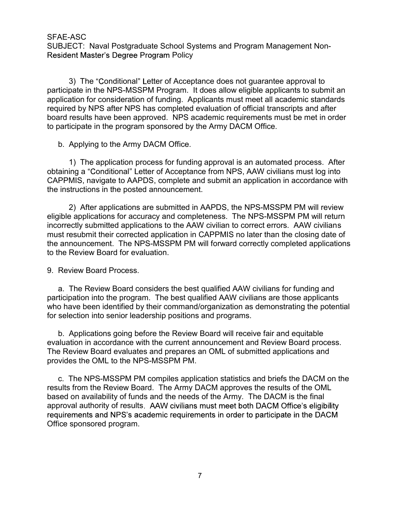SFAE-ASC<br>SUBJECT: Naval Postgraduate School Systems and Program Management Non-<br>Resident Master's Degree Program Policy<br>3) The "Conditional" Letter of Acceptance does not guarantee approval to Resident Master's Degree Program Policy

3) The "Conditional" Letter of Acceptance does not guarantee approval to participate in the NPS-MSSPM Program. It does allow eligible applicants to submit an application for consideration of funding. Applicants must meet all academic standards required by NPS after NPS has completed evaluation of official transcripts and after board results have been approved. NPS academic requirements must be met in order to participate in the program sponsored by the Army DACM Office. AE-ASC<br>BJECT: Naval Postgraduate School Systems and Program Manasident Master's Degree Program Policy<br>3) The "Conditional" Letter of Acceptance does not guarantee<br>ticipate in the NPS-MSSPM Program. It does allow eligible a 1) The "Conditional" Letter of Acceptance for NPS, AAW civilians must be a set of Acceptan Conditional" Letter of Acceptance does not guarantee approval to space in the NPS-MSSPM Program. It does allow eligible applicants AND<br>
THET CET: Naval Postgraduate School Systems and Program Management Non-<br>
THET Master's Degree Program Policy<br>
3) The "Conditional" Letter of Acceptance does not guarantee approval to<br>
apate in the NPS-MSSPM Program. I

obtaining a "Conditional" Letter of Acceptance from NPS, AAW civilians must log into CAPPMIS, navigate to AAPDS, complete and submit an application in accordance with the instructions in the posted announcement.

eligible applications for accuracy and completeness. The NPS-MSSPM PM will return incorrectly submitted applications to the AAW civilian to correct errors. AAW civilians must resubmit their corrected application in CAPPMIS no later than the closing date of the announcement. The NPS-MSSPM PM will forward correctly completed applications to the Review Board for evaluation. strate and the original metallities and the required by NPS after NPS has completed evaluation of official to bard results have been approved. NPS academic requirements to participate in the program sponsored by the Army D a. The Review Board considers the best qualified AAW civilians are the and the broad consider the program sponsored by the Army DACM Office.<br>
1) The application process for funding approval is an automated process. After<br> <sup>1</sup>7 me application process on naming application as an actionisate process. Find<br>analysis and applications in the posted announcement.<br>
The Review Board with the prosess announcement.<br>
Instructions in the posted announcem 2. New rappleadions are sountined in PAP DJ, the NP D-WD-T What will return<br>applications for accuracy and completeness. The NPS-MSSPM PM will return<br>orrectly submitted applications to the AAW civilian to correct errors. AA

participation into the program. The best qualified AAW civilians are those applicants who have been identified by their command/organization as demonstrating the potential for selection into senior leadership positions and programs.

evaluation in accordance with the current announcement and Review Board process. The Review Board evaluates and prepares an OML of submitted applications and provides the OML to the NPS-MSSPM PM.

results from the Review Board. The Army DACM approves the results of the OML based on availability of funds and the needs of the Army. The DACM is the final approval authority of results. AAW civilians must meet both DACM Office's eligibility Office sponsored program.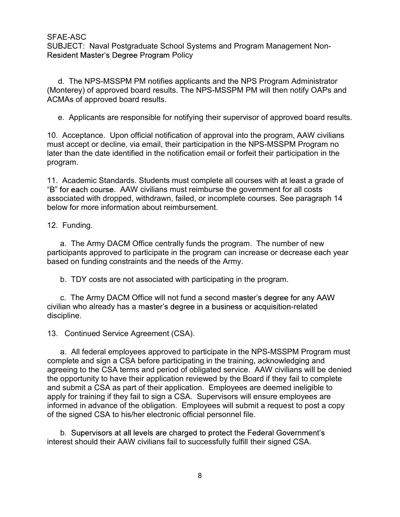SFAE-ASC<br>SUBJECT: Naval Postgraduate School Systems and Program Management Non-<br>Resident Master's Degree Program Policy<br>d. The NPS-MSSPM PM notifies applicants and the NPS Program Administrator<br>(Martiage) of annual beam ap Resident Master's Degree Program Policy

AE-ASC<br>BJECT: Naval Postgraduate School Systems and Program Management Non-<br>sident Master's Degree Program Policy<br>d. The NPS-MSSPM PM notifies applicants and the NPS Program Administrator<br>onterey) of approved board results (Monterey) of approved board results. The NPS-MSSPM PM will then notify OAPs and ACMAs of approved board results.

AE-ASC<br>BJECT: Naval Postgraduate School Systems and Program Management Non-<br>sident Master's Degree Program Policy<br>d. The NPS-MSSPM PM notifies applicants and the NPS Program Administrator<br>onterey) of approved board results SFAE-ASC<br>
SUBJECT: Naval Postgraduate School Systems and Program Management Non-<br>
Resident Master's Degree Program Policy<br>
1. The NPS-MSSPM PM notifies applicants and the NPS Program Administrator<br>
(Monterey) of approved b must accept or decline, via email, their participation in the NPS-MSSPM Program no SFAE-ASC<br>SUBJECT: Naval Postgraduate School Systems and Program Management Non-<br>Resident Master's Degree Program Policy<br>d. The NPS-MSSPM PM notifies applicants and the NPS Program Administrator<br>(Monterey) of approved board program. SFAE-ASC<br>
SUBJECT: Naval Postgraduate School Systems and Program Management Non-<br>
Resident Master's Degree Program Policy<br>
1. The NPS-MSSPM PM notifies applicants and the NPS Program Administrator<br>
(Monterey) of approved b resident master's Degree Program Policy<br>
d. The NPS-MSSPM PM notifies applicants and the NPS Prog<br>
(Monterey) of approved board results. The NPS-MSSPM PM will the<br>
ACMAs of approved board results.<br>
e. Applicants are respon 1. The NPS-MSSPM PM notifies applicants and the NPS Program Administrator<br>nterey) of approved board results. The NPS-MSSPM PM will then notify OAPs and<br>MAs of approved board results.<br>
2. Applicants are responsible for noti b. Applicants are responsible for notifying their supervisor of approved board result<br>Acceptance. Upon official notification of approval into the program, AAW civilians<br>st accept or decline, via email, their participation Acceptance. Upon official notification of approval into the program, AAW civilians<br>diaccept or decline, via email, their participation in the NPS-MSSPM Program no<br>train the date identified in the notification email or forf

"B" for each course. AAW civilians must reimburse the government for all costs associated with dropped, withdrawn, failed, or incomplete courses. See paragraph 14 below for more information about reimbursement. program.<br>
11. Academic Standards. Students must complete all courses with<br>
"B" for each course. AAW civilians must reimburse the government<br>
associated with dropped, withdrawn, failed, or incomplete courses.<br>
below for mor

participants approved to participate in the program can increase or decrease each year based on funding constraints and the needs of the Army.

civilian who already has a master's degree in a business or acquisition-related discipline.

Academic solitions. Suchtristing matter in the government for all costs<br>for each course. AAW civilians must reimburse the government for all costs<br>ociated with dropped, withdrawn, failed, or incomplete courses. See paragra complete and sign a CSA before participating in the training, acknowledging and agreeing to the CSA terms and period of obligated service. AAW civilians will be denied the opportunity to have their application reviewed by the Board if they fail to complete and submit a CSA as part of their application. Employees are deemed ineligible to apply for training if they fail to sign a CSA. Supervisors will ensure employees are informed in advance of the obligation. Employees will submit a request to post a copy of the signed CSA to his/her electronic official personnel file.

b. Supervisors at all levels are charged to protect the Federal Government's interest should their AAW civilians fail to successfully fulfill their signed CSA.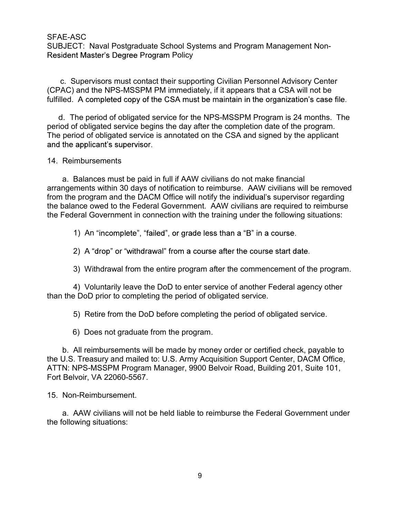SFAE-ASC<br>SUBJECT: Naval Postgraduate School Systems and Program Management Non-<br>Resident Master's Degree Program Policy<br>C. Supervisors must contact their supporting Civilian Personnel Advisory Center<br>(CDAC) and the NDC MOC Resident Master's Degree Program Policy

NE-ASC<br>SJECT: Naval Postgraduate School Systems and Program Management Non-<br>ident Master's Degree Program Policy<br>c. Supervisors must contact their supporting Civilian Personnel Advisory Center<br>AC) and the NPS-MSSPM PM imme (CPAC) and the NPS-MSSPM PM immediately, if it appears that a CSA will not be fulfilled. A completed copy of the CSA must be maintain in the organization's case file.

d. The period of obligated service for the NPS-MSSPM Program is 24 months. The period of obligated service begins the day after the completion date of the program. The period of obligated service is annotated on the CSA and signed by the applicant SFAE-ASC<br>
SUBJECT: Naval Postgraduate School Systems and Program Ma<br>
Resident Master's Degree Program Policy<br>
c. Supervisors must contact their supporting Civilian Personne<br>
(CPAC) and the NPS-MSSPM PM immediately, if it a

E-ASC<br>JECT: Naval Postgraduate School Systems and Program Management Non-<br>dent Master's Degree Program Policy<br>2. Supervisors must contact their supporting Civilian Personnel Advisory Center<br>4C) and the NPS-MSSPM PM immedia arrangements within 30 days of notification to reimburse. AAW civilians will be removed from the program and the DACM Office will notify the individual's supervisor regarding the balance owed to the Federal Government. AAW civilians are required to reimburse the Federal Government in connection with the training under the following situations: Supervisors must contact their supporting Civilian Personnel Adviant and the NPS-MSSPM PM immediately, if it appears that a CSA A completed copy of the CSA must be maintain in the organization The period of obligated servi A completed copy or the CSA must be maintain in the organization s case hile.<br>
The period of obligated service begins the day after the completion date of the program.<br>
The folographic service begins the day after the comp ne peno a fo poligiate service for the NP-S-MS-Y-M Program is 24 months. The<br>if obligated service begins the day after the completion date of the program.<br>Field of obligated service is annotated on the CSA and signed by th applicant s supervisor.<br>
Balances must be paid in full if AAW civilians do not make financial<br>
ments within 30 days of notification to reimburse. AAW civilians will be removed<br>
program and the DACM Office will notifiy the Balances must be paid in full if AAW civilians do not make financements within 30 days of notification to reimburse. AAW civilians me program and the DACM Office will notify the individual's superviance owed to the Federal a. Danares must be part in the more trained to check the program and the program and the DACM Office will notify the individual's supervisor regarding<br>bandnes over the program and the DACM Office will notify the individual

2) A "drop" or "withdrawal" from a course after the course start date.

than the DoD prior to completing the period of obligated service.

the U.S. Treasury and mailed to: U.S. Army Acquisition Support Center, DACM Office, ATTN: NPS-MSSPM Program Manager, 9900 Belvoir Road, Building 201, Suite 101, Fort Belvoir, VA 22060-5567. 1) An "incomplete", "failed", or grade less than a "B" in a complement of the course of the course of Allyman Course after the course of Allyman Virthdrawal from the entire program after the commence of Allyman Virthdrawal 2) A "drop" or "withdrawal" from a course after the course start date.<br>
3) Withdrawal from the entire program after the commencement of the program.<br>
4) Voluntarily leave the DoD to enter service of another Federal agency

the following situations: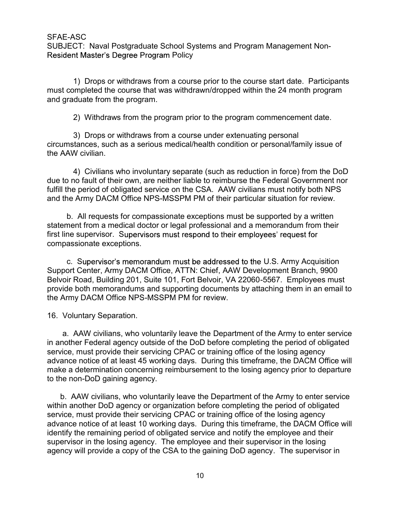SFAE-ASC<br>SUBJECT: Naval Postgraduate School Systems and Program Management Non-<br>Resident Master's Degree Program Policy<br>1) Drops or withdraws from a course prior to the course start date. Participants Resident Master's Degree Program Policy

1)<br>1) Drops or withdraws from a course prior to the course start date. Participants<br>1) Drops or withdraws from a course prior to the course start date. Participants<br>1) Drops or withdraws from a course prior to the course s must completed the course that was withdrawn/dropped within the 24 month program and graduate from the program. NSC<br>2019 Mayal Postgraduate School Systems and Program Management Non-<br>11 Drops or withdraws from a course prior to the course start date. Participants<br>11 Drops or withdraws from a course prior to the course start date. Pa SC<br>SC<br>CT: Naval Postgraduate School Systems and Program Management Non-<br>The Master's Degree Program Policy<br>The Drops or withdraws from a course prior to the course start date. Participant<br>mpleted the course that was withdr

circumstances, such as a serious medical/health condition or personal/family issue of the AAW civilian.

NSC<br>
CT: Naval Postgraduate School Systems and Program Management Non-<br>
1) Drops or withdraws from a course prior to the course start date. Participants<br>
mpleted the course that was withdrawn/dropped within the 24 month pr due to no fault of their own, are neither liable to reimburse the Federal Government nor fulfill the period of obligated service on the CSA. AAW civilians must notify both NPS and the Army DACM Office NPS-MSSPM PM of their particular situation for review. ECT. Navar Postgreadue Scalion Systems and Program Management Won-<br>ent Master's Degree Program Policy<br>or and Master's Degree Program Policy<br>and the course that was withdrawn/dropped within the 24 month program<br>raduate from

statement from a medical doctor or legal professional and a memorandum from their first line supervisor. Supervisors must respond to their employees' request for compassionate exceptions.

c. Supervisor's memorandum must be addressed to the U.S. Army Acquisition Support Center, Army DACM Office, ATTN: Chief, AAW Development Branch, 9900 Belvoir Road, Building 201, Suite 101, Fort Belvoir, VA 22060-5567. Employees must provide both memorandums and supporting documents by attaching them in an email to the Army DACM Office NPS-MSSPM PM for review. Concurse and the HAW civilians<br>
4) Civilians who involuntary separate (such as reduction in the BAW civilian.<br>
4) Civilians who involuntary separate (such as reduction in<br>
due to no fault of their own, are neither liable t

4) Civilians who involuntary separate (such as reduction in force) from the DoD<br>to no fault of their own, are neither liable to reimburse the Federal Government nor<br>the period of obligated service on the CSA. AAW civilians in another Federal agency outside of the DoD before completing the period of obligated service, must provide their servicing CPAC or training office of the losing agency advance notice of at least 45 working days. During this timeframe, the DACM Office will make a determination concerning reimbursement to the losing agency prior to departure to the non-DoD gaining agency. Finition and antendral occion of regar protessiontar and a membrandum information<br>and the supervisor's memorandum must be addressed to the U.S. Army Acquisition<br>port Center, Army DACM Office, ATTN: Chief, AAW Development B

within another DoD agency or organization before completing the period of obligated service, must provide their servicing CPAC or training office of the losing agency advance notice of at least 10 working days. During this timeframe, the DACM Office will identify the remaining period of obligated service and notify the employee and their supervisor in the losing agency. The employee and their supervisor in the losing agency will provide a copy of the CSA to the gaining DoD agency. The supervisor in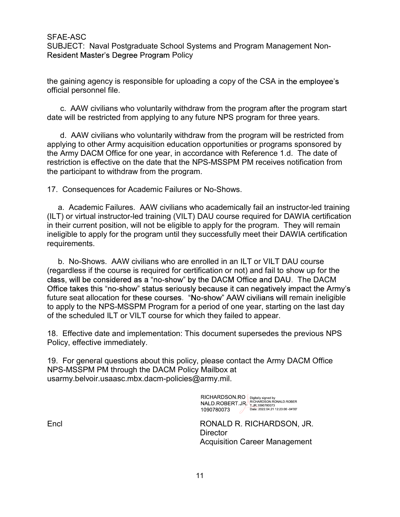SFAE-ASC<br>SUBJECT: Naval Postgraduate School Systems and Program Management Non-<br>Resident Master's Degree Program Policy<br>the gaining agency is responsible for uploading a copy of the CSA in the employee's Resident Master's Degree Program Policy

the gaining agency is responsible for uploading a copy of the CSA official personnel file.

date will be restricted from applying to any future NPS program for three years.

NE-ASC<br>BJECT: Naval Postgraduate School Systems and Program Management Non-<br>gaining agency is responsible for uploading a copy of the CSA in the employee's<br>ial personnel file.<br>c. AAW civilians who voluntarily withdraw from NE-ASC<br>BJECT: Naval Postgraduate School Systems and Program Management Non-<br>ident Master's Degree Program Policy<br>gaining agency is responsible for uploading a copy of the CSA in the employee's<br>ial personnel file.<br>c. AAW ci applying to other Army acquisition education opportunities or programs sponsored by the Army DACM Office for one year, in accordance with Reference 1.d. The date of restriction is effective on the date that the NPS-MSSPM PM receives notification from the participant to withdraw from the program. SFAE-ASC<br>
SUBJECT: Naval Postgraduate School Systems and Program Managem<br>
Resident Master's Degree Program Policy<br>
the gaining agency is responsible for uploading a copy of the CSA in the<br>
official personnel file.<br>
c. AAW

ACA-ASC:<br>
HELACT: Naval Postgraduate School Systems and Program Management Non-<br>
BJECT: Naval Postgraduate School Systems and Program after the program start<br>
cal personnel file.<br>
c. AAW civilians who voluntarily withdraw (ILT) or virtual instructor-led training (VILT) DAU course required for DAWIA certification in their current position, will not be eligible to apply for the program. They will remain ineligible to apply for the program until they successfully meet their DAWIA certification requirements.

c. AAW civilians who voluntarily withdraw from the program after the program start<br>
e. MHV civilians who voluntarily withdraw from the program for three years.<br>
e. WHO external and the program of the program will be restri (regardless if the course is required for certification or not) and fail to show up for the<br>class, will be considered as a "no-show" by the DACM Office and DAU. The DACM<br>Office takes this "no-show" status seriously because future seat allocation for these courses. "No-show" AAW civilians will remain ineligible to apply to the NPS-MSSPM Program for a period of one year, starting on the last day of the scheduled ILT or VILT course for which they failed to appear. The particular service of the date that in the viviolity of the metal in instructor-led training<br>
17. Consequences for Academic Failures or No-Shows.<br>
2. Academic Failures. AAW civilians who academically fail an instructor 17. Consequences for Academic Fallures of No-Shows.<br>
2. Academic Fallures. AAW civilians who academically fail an instructor-led training<br>
(ILT) or virtual instructor-led training (VILT) DAU course required for DAWIA certi

Policy, effective immediately.

NPS-MSSPM PM through the DACM Policy Mailbox at usarmy.belvoir.usaasc.mbx.dacm-policies@army.mil.

1090780073

Encl **Encl RONALD R. RICHARDSON, JR. Director** Acquisition Career Management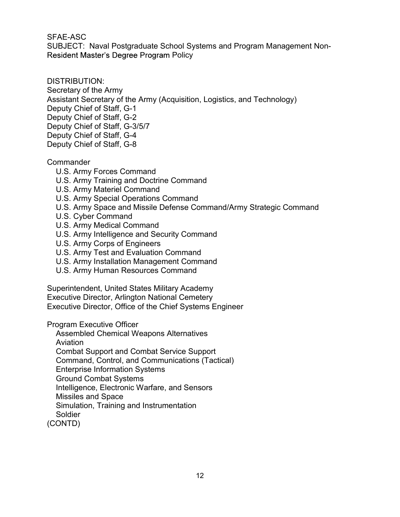SFAE-ASC<br>SUBJECT: Naval Postgraduate School Systems and Program Management Non-<br>Resident Master's Degree Program Policy<br>DISTRIBUTION: Resident Master's Degree Program Policy

## DISTRIBUTION:

Secretary of the Army Assistant Secretary of the Army (Acquisition, Logistics, and Technology) Deputy Chief of Staff, G-1 Deputy Chief of Staff, G-2 Deputy Chief of Staff, G-3/5/7 Deputy Chief of Staff, G-4 Deputy Chief of Staff, G-8

## **Commander**

- U.S. Army Forces Command
- U.S. Army Training and Doctrine Command
- U.S. Army Materiel Command
- U.S. Army Special Operations Command
- U.S. Army Space and Missile Defense Command/Army Strategic Command
- U.S. Cyber Command
- U.S. Army Medical Command
- U.S. Army Intelligence and Security Command
- U.S. Army Corps of Engineers
- U.S. Army Test and Evaluation Command
- U.S. Army Installation Management Command
- U.S. Army Human Resources Command

Superintendent, United States Military Academy Executive Director, Arlington National Cemetery Executive Director, Office of the Chief Systems Engineer

Program Executive Officer

Assembled Chemical Weapons Alternatives Aviation

Combat Support and Combat Service Support

Command, Control, and Communications (Tactical)

Enterprise Information Systems

Ground Combat Systems

Intelligence, Electronic Warfare, and Sensors

Missiles and Space

Simulation, Training and Instrumentation

Soldier

(CONTD)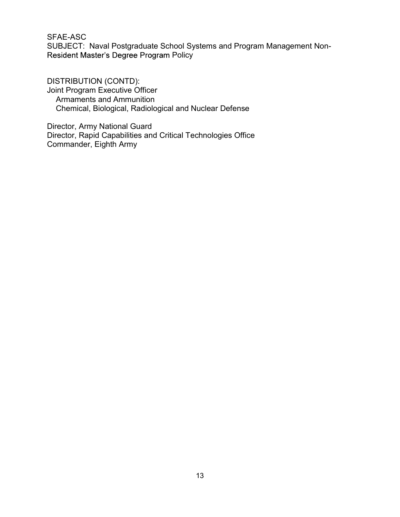SFAE-ASC<br>SUBJECT: Naval Postgraduate School Systems and Program Management Non-SFAE-ASC<br>SUBJECT: Naval Postgraduate School Systems and Program Management Non-<br>Resident Master's Degree Program Policy<br>DISTRIBUTION (CONTD):<br>Jaint Reserves Freedity offices Resident Master's Degree Program Policy

SFAE-ASC<br>SUBJECT: Naval Postgraduate School Systems and Program Management N<br>Resident Master's Degree Program Policy<br>DISTRIBUTION (CONTD):<br>Joint Program Executive Officer<br>Armaments and Ammunition<br>Chemical, Biological, Radi Joint Program Executive Officer Armaments and Ammunition<br>Chemical, Biological, Radiological and Nuclear Defense AE-ASC<br>IBJECT: Naval Postgraduate School Systems and Program Management Non-<br>sident Master's Degree Program Policy<br>STRIBUTION (CONTD):<br>int Program Executive Officer<br>Armaments and Ammunition<br>Chemical, Biological, Radiologic

Director, Army National Guard Director, Rapid Capabilities and Critical Technologies Office Commander, Eighth Army